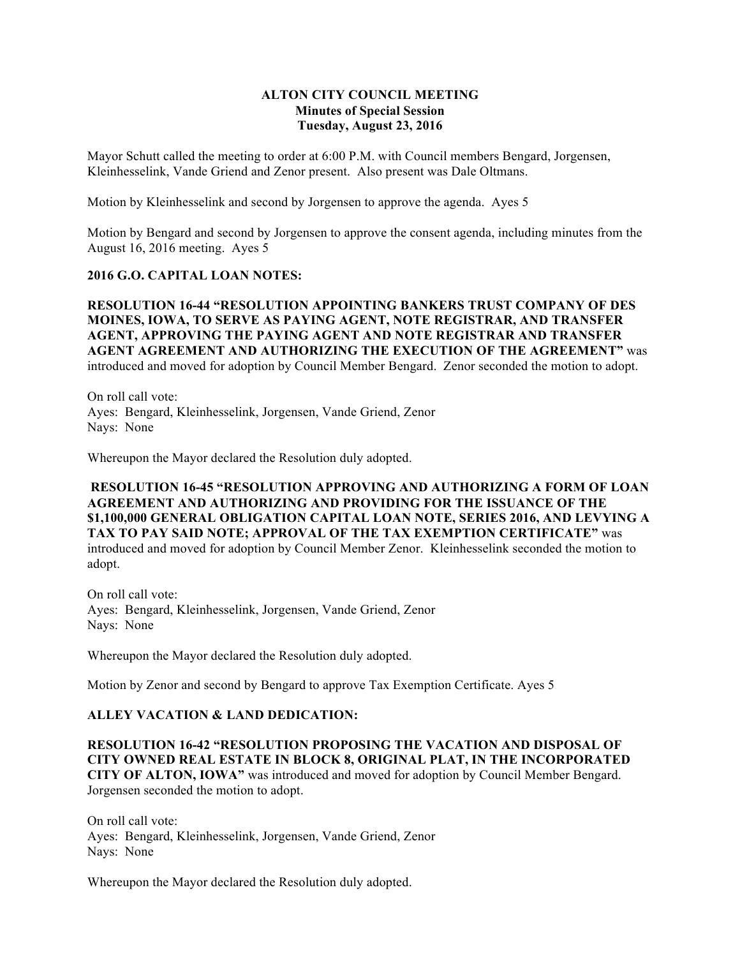## **ALTON CITY COUNCIL MEETING Minutes of Special Session Tuesday, August 23, 2016**

Mayor Schutt called the meeting to order at 6:00 P.M. with Council members Bengard, Jorgensen, Kleinhesselink, Vande Griend and Zenor present. Also present was Dale Oltmans.

Motion by Kleinhesselink and second by Jorgensen to approve the agenda. Ayes 5

Motion by Bengard and second by Jorgensen to approve the consent agenda, including minutes from the August 16, 2016 meeting. Ayes 5

## **2016 G.O. CAPITAL LOAN NOTES:**

**RESOLUTION 16-44 "RESOLUTION APPOINTING BANKERS TRUST COMPANY OF DES MOINES, IOWA, TO SERVE AS PAYING AGENT, NOTE REGISTRAR, AND TRANSFER AGENT, APPROVING THE PAYING AGENT AND NOTE REGISTRAR AND TRANSFER AGENT AGREEMENT AND AUTHORIZING THE EXECUTION OF THE AGREEMENT"** was introduced and moved for adoption by Council Member Bengard. Zenor seconded the motion to adopt.

On roll call vote: Ayes: Bengard, Kleinhesselink, Jorgensen, Vande Griend, Zenor Nays: None

Whereupon the Mayor declared the Resolution duly adopted.

**RESOLUTION 16-45 "RESOLUTION APPROVING AND AUTHORIZING A FORM OF LOAN AGREEMENT AND AUTHORIZING AND PROVIDING FOR THE ISSUANCE OF THE \$1,100,000 GENERAL OBLIGATION CAPITAL LOAN NOTE, SERIES 2016, AND LEVYING A TAX TO PAY SAID NOTE; APPROVAL OF THE TAX EXEMPTION CERTIFICATE"** was introduced and moved for adoption by Council Member Zenor. Kleinhesselink seconded the motion to adopt.

On roll call vote: Ayes: Bengard, Kleinhesselink, Jorgensen, Vande Griend, Zenor Nays: None

Whereupon the Mayor declared the Resolution duly adopted.

Motion by Zenor and second by Bengard to approve Tax Exemption Certificate. Ayes 5

## **ALLEY VACATION & LAND DEDICATION:**

**RESOLUTION 16-42 "RESOLUTION PROPOSING THE VACATION AND DISPOSAL OF CITY OWNED REAL ESTATE IN BLOCK 8, ORIGINAL PLAT, IN THE INCORPORATED CITY OF ALTON, IOWA"** was introduced and moved for adoption by Council Member Bengard. Jorgensen seconded the motion to adopt.

On roll call vote: Ayes: Bengard, Kleinhesselink, Jorgensen, Vande Griend, Zenor Nays: None

Whereupon the Mayor declared the Resolution duly adopted.